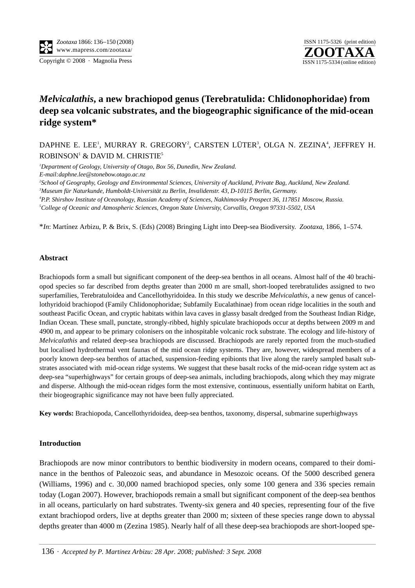**ZOOTAXA** ISSN 1175-5326 (print edition) Copyright © 2008 · Magnolia Press ISSN 1175-5334 (online edition)

# *Melvicalathis***, a new brachiopod genus (Terebratulida: Chlidonophoridae) from deep sea volcanic substrates, and the biogeographic significance of the mid-ocean ridge system\***

## DAPHNE E. LEE', MURRAY R. GREGORY<sup>2</sup>, CARSTEN LÜTER<sup>3</sup>, OLGA N. ZEZINA<sup>4</sup>, JEFFREY H. ROBINSON<sup>1</sup> & DAVID M. CHRISTIE<sup>5</sup>

 *Department of Geology, University of Otago, Box 56, Dunedin, New Zealand. E-mail:daphne.lee@stonebow.otago.ac.nz School of Geography, Geology and Environmental Sciences, University of Auckland, Private Bag, Auckland, New Zealand. Museum für Naturkunde, Humboldt-Universität zu Berlin, Invalidenstr. 43, D-10115 Berlin, Germany. P.P. Shirshov Institute of Oceanology, Russian Academy of Sciences, Nakhimovsky Prospect 36, 117851 Moscow, Russia.*

*5 College of Oceanic and Atmospheric Sciences, Oregon State University, Corvallis, Oregon 97331-5502, USA*

\**In*: Martínez Arbizu, P. & Brix, S. (Eds) (2008) Bringing Light into Deep-sea Biodiversity. *Zootaxa*, 1866, 1–574.

#### **Abstract**

Brachiopods form a small but significant component of the deep-sea benthos in all oceans. Almost half of the 40 brachiopod species so far described from depths greater than 2000 m are small, short-looped terebratulides assigned to two superfamilies, Terebratuloidea and Cancellothyridoidea. In this study we describe *Melvicalathis*, a new genus of cancellothyridoid brachiopod (Family Chlidonophoridae; Subfamily Eucalathinae) from ocean ridge localities in the south and southeast Pacific Ocean, and cryptic habitats within lava caves in glassy basalt dredged from the Southeast Indian Ridge, Indian Ocean. These small, punctate, strongly-ribbed, highly spiculate brachiopods occur at depths between 2009 m and 4900 m, and appear to be primary colonisers on the inhospitable volcanic rock substrate. The ecology and life-history of *Melvicalathis* and related deep-sea brachiopods are discussed. Brachiopods are rarely reported from the much-studied but localised hydrothermal vent faunas of the mid ocean ridge systems. They are, however, widespread members of a poorly known deep-sea benthos of attached, suspension-feeding epibionts that live along the rarely sampled basalt substrates associated with mid-ocean ridge systems. We suggest that these basalt rocks of the mid-ocean ridge system act as deep-sea "superhighways" for certain groups of deep-sea animals, including brachiopods, along which they may migrate and disperse. Although the mid-ocean ridges form the most extensive, continuous, essentially uniform habitat on Earth, their biogeographic significance may not have been fully appreciated.

**Key words:** Brachiopoda, Cancellothyridoidea, deep-sea benthos, taxonomy, dispersal, submarine superhighways

#### **Introduction**

Brachiopods are now minor contributors to benthic biodiversity in modern oceans, compared to their dominance in the benthos of Paleozoic seas, and abundance in Mesozoic oceans. Of the 5000 described genera (Williams, 1996) and c. 30,000 named brachiopod species, only some 100 genera and 336 species remain today (Logan 2007). However, brachiopods remain a small but significant component of the deep-sea benthos in all oceans, particularly on hard substrates. Twenty-six genera and 40 species, representing four of the five extant brachiopod orders, live at depths greater than 2000 m; sixteen of these species range down to abyssal depths greater than 4000 m (Zezina 1985). Nearly half of all these deep-sea brachiopods are short-looped spe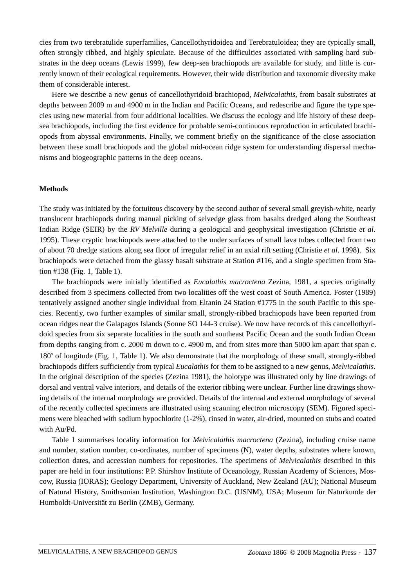cies from two terebratulide superfamilies, Cancellothyridoidea and Terebratuloidea; they are typically small, often strongly ribbed, and highly spiculate. Because of the difficulties associated with sampling hard substrates in the deep oceans (Lewis 1999), few deep-sea brachiopods are available for study, and little is currently known of their ecological requirements. However, their wide distribution and taxonomic diversity make them of considerable interest.

Here we describe a new genus of cancellothyridoid brachiopod, *Melvicalathis*, from basalt substrates at depths between 2009 m and 4900 m in the Indian and Pacific Oceans, and redescribe and figure the type species using new material from four additional localities. We discuss the ecology and life history of these deepsea brachiopods, including the first evidence for probable semi-continuous reproduction in articulated brachiopods from abyssal environments. Finally, we comment briefly on the significance of the close association between these small brachiopods and the global mid-ocean ridge system for understanding dispersal mechanisms and biogeographic patterns in the deep oceans.

## **Methods**

The study was initiated by the fortuitous discovery by the second author of several small greyish-white, nearly translucent brachiopods during manual picking of selvedge glass from basalts dredged along the Southeast Indian Ridge (SEIR) by the *RV Melville* during a geological and geophysical investigation (Christie *et al*. 1995). These cryptic brachiopods were attached to the under surfaces of small lava tubes collected from two of about 70 dredge stations along sea floor of irregular relief in an axial rift setting (Christie *et al*. 1998). Six brachiopods were detached from the glassy basalt substrate at Station #116, and a single specimen from Station #138 (Fig. 1, Table 1).

The brachiopods were initially identified as *Eucalathis macroctena* Zezina, 1981, a species originally described from 3 specimens collected from two localities off the west coast of South America. Foster (1989) tentatively assigned another single individual from Eltanin 24 Station #1775 in the south Pacific to this species. Recently, two further examples of similar small, strongly-ribbed brachiopods have been reported from ocean ridges near the Galapagos Islands (Sonne SO 144-3 cruise). We now have records of this cancellothyridoid species from six separate localities in the south and southeast Pacific Ocean and the south Indian Ocean from depths ranging from c. 2000 m down to c. 4900 m, and from sites more than 5000 km apart that span c. 180° of longitude (Fig. 1, Table 1). We also demonstrate that the morphology of these small, strongly-ribbed brachiopods differs sufficiently from typical *Eucalathis* for them to be assigned to a new genus, *Melvicalathis*. In the original description of the species (Zezina 1981), the holotype was illustrated only by line drawings of dorsal and ventral valve interiors, and details of the exterior ribbing were unclear. Further line drawings showing details of the internal morphology are provided. Details of the internal and external morphology of several of the recently collected specimens are illustrated using scanning electron microscopy (SEM). Figured specimens were bleached with sodium hypochlorite (1-2%), rinsed in water, air-dried, mounted on stubs and coated with Au/Pd.

Table 1 summarises locality information for *Melvicalathis macroctena* (Zezina), including cruise name and number, station number, co-ordinates, number of specimens (N), water depths, substrates where known, collection dates, and accession numbers for repositories. The specimens of *Melvicalathis* described in this paper are held in four institutions: P.P. Shirshov Institute of Oceanology, Russian Academy of Sciences, Moscow, Russia (IORAS); Geology Department, University of Auckland, New Zealand (AU); National Museum of Natural History, Smithsonian Institution, Washington D.C. (USNM), USA; Museum für Naturkunde der Humboldt-Universität zu Berlin (ZMB), Germany.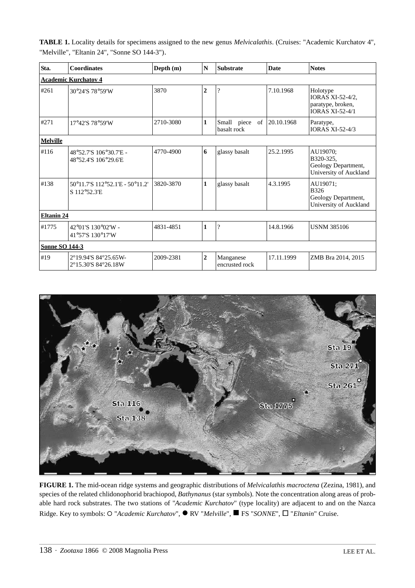**TABLE 1.** Locality details for specimens assigned to the new genus *Melvicalathis*. (Cruises: "Academic Kurchatov 4", "Melville", "Eltanin 24", "Sonne SO 144-3").

| Sta.                        | <b>Coordinates</b>                              | Depth $(m)$ | $\mathbf N$    | <b>Substrate</b>              | <b>Date</b> | <b>Notes</b>                                                                       |
|-----------------------------|-------------------------------------------------|-------------|----------------|-------------------------------|-------------|------------------------------------------------------------------------------------|
| <b>Academic Kurchatov 4</b> |                                                 |             |                |                               |             |                                                                                    |
| #261                        | 30°24'S 78°59'W                                 | 3870        | $\overline{2}$ | $\overline{\mathcal{L}}$      | 7.10.1968   | Holotype<br><b>IORAS XI-52-4/2,</b><br>paratype, broken,<br><b>IORAS XI-52-4/1</b> |
| #271                        | 17°42'S 78°59'W                                 | 2710-3080   | 1              | Small piece of<br>basalt rock | 20.10.1968  | Paratype,<br><b>IORAS XI-52-4/3</b>                                                |
| <b>Melville</b>             |                                                 |             |                |                               |             |                                                                                    |
| #116                        | 48°52.7'S 106°30.7'E -<br>48°52.4'S 106°29.6'E  | 4770-4900   | 6              | glassy basalt                 | 25.2.1995   | AU19070;<br>B320-325,<br>Geology Department,<br>University of Auckland             |
| #138                        | 50°11.7'S 112°52.1'E - 50°11.2'<br>S 112°52.3'E | 3820-3870   | 1              | glassy basalt                 | 4.3.1995    | AU19071;<br><b>B326</b><br>Geology Department,<br>University of Auckland           |
| <b>Eltanin 24</b>           |                                                 |             |                |                               |             |                                                                                    |
| #1775                       | 42°01'S 130°02'W -<br>41°57'S 130°17'W          | 4831-4851   | 1              | $\overline{\mathcal{L}}$      | 14.8.1966   | <b>USNM 385106</b>                                                                 |
| <b>Sonne SO 144-3</b>       |                                                 |             |                |                               |             |                                                                                    |
| #19                         | 2°19.94'S 84°25.65W-<br>2°15.30'S 84°26.18W     | 2009-2381   | $\overline{2}$ | Manganese<br>encrusted rock   | 17.11.1999  | ZMB Bra 2014, 2015                                                                 |



**FIGURE 1.** The mid-ocean ridge systems and geographic distributions of *Melvicalathis macroctena* (Zezina, 1981), and species of the related chlidonophorid brachiopod, *Bathynanus* (star symbols). Note the concentration along areas of probable hard rock substrates. The two stations of "*Academic Kurchatov*" (type locality) are adjacent to and on the Nazca Ridge. Key to symbols: ○ "*Academic Kurchatov*", ● RV "*Melville*", ■ FS "*SONNE*", □ "*Eltanin*" Cruise.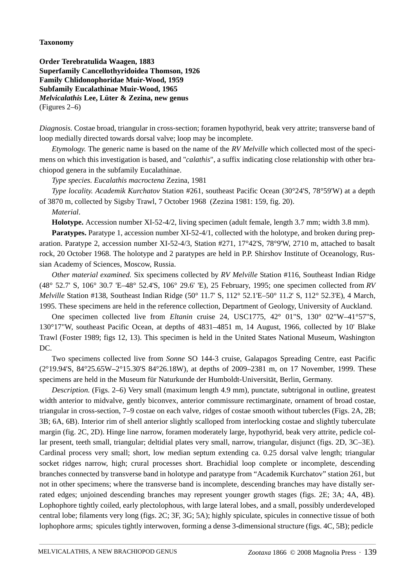## **Taxonomy**

**Order Terebratulida Waagen, 1883 Superfamily Cancellothyridoidea Thomson, 1926 Family Chlidonophoridae Muir-Wood, 1959 Subfamily Eucalathinae Muir-Wood, 1965** *Melvicalathis* **Lee, Lüter & Zezina, new genus**  (Figures 2–6)

*Diagnosis.* Costae broad, triangular in cross-section; foramen hypothyrid, beak very attrite; transverse band of loop medially directed towards dorsal valve; loop may be incomplete.

*Etymology.* The generic name is based on the name of the *RV Melville* which collected most of the specimens on which this investigation is based, and "*calathis*", a suffix indicating close relationship with other brachiopod genera in the subfamily Eucalathinae.

*Type species. Eucalathis macroctena* Zezina, 1981

*Type locality. Academik Kurchatov* Station #261, southeast Pacific Ocean (30°24'S, 78°59'W) at a depth of 3870 m, collected by Sigsby Trawl, 7 October 1968 (Zezina 1981: 159, fig. 20).

*Material*.

**Holotype.** Accession number XI-52-4/2, living specimen (adult female, length 3.7 mm; width 3.8 mm).

**Paratypes.** Paratype 1, accession number XI-52-4/1, collected with the holotype, and broken during preparation. Paratype 2, accession number XI-52-4/3, Station #271, 17°42'S, 78°9'W, 2710 m, attached to basalt rock, 20 October 1968. The holotype and 2 paratypes are held in P.P. Shirshov Institute of Oceanology, Russian Academy of Sciences, Moscow, Russia.

*Other material examined.* Six specimens collected by *RV Melville* Station #116, Southeast Indian Ridge (48° 52.7' S, 106° 30.7 'E–48° 52.4'S, 106° 29.6' 'E), 25 February, 1995; one specimen collected from *RV Melville* Station #138, Southeast Indian Ridge (50° 11.7' S, 112° 52.1'E–50° 11.2' S, 112° 52.3'E), 4 March, 1995. These specimens are held in the reference collection, Department of Geology, University of Auckland.

One specimen collected live from *Eltanin* cruise 24, USC1775, 42° 01"S, 130° 02"W–41°57"S, 130°17"W, southeast Pacific Ocean, at depths of 4831–4851 m, 14 August, 1966, collected by 10' Blake Trawl (Foster 1989; figs 12, 13). This specimen is held in the United States National Museum, Washington DC.

Two specimens collected live from *Sonne* SO 144-3 cruise, Galapagos Spreading Centre, east Pacific (2°19.94'S, 84°25.65W–2°15.30'S 84°26.18W), at depths of 2009–2381 m, on 17 November, 1999. These specimens are held in the Museum für Naturkunde der Humboldt-Universität, Berlin, Germany.

*Description.* (Figs. 2–6) Very small (maximum length 4.9 mm), punctate, subtrigonal in outline, greatest width anterior to midvalve, gently biconvex, anterior commissure rectimarginate, ornament of broad costae, triangular in cross-section, 7–9 costae on each valve, ridges of costae smooth without tubercles (Figs. 2A, 2B; 3B; 6A, 6B). Interior rim of shell anterior slightly scalloped from interlocking costae and slightly tuberculate margin (fig. 2C, 2D). Hinge line narrow, foramen moderately large, hypothyrid, beak very attrite, pedicle collar present, teeth small, triangular; deltidial plates very small, narrow, triangular, disjunct (figs. 2D, 3C–3E). Cardinal process very small; short, low median septum extending ca. 0.25 dorsal valve length; triangular socket ridges narrow, high; crural processes short. Brachidial loop complete or incomplete, descending branches connected by transverse band in holotype and paratype from "Academik Kurchatov" station 261, but not in other specimens; where the transverse band is incomplete, descending branches may have distally serrated edges; unjoined descending branches may represent younger growth stages (figs. 2E; 3A; 4A, 4B). Lophophore tightly coiled, early plectolophous, with large lateral lobes, and a small, possibly underdeveloped central lobe; filaments very long (figs. 2C; 3F, 3G; 5A); highly spiculate, spicules in connective tissue of both lophophore arms; spicules tightly interwoven, forming a dense 3-dimensional structure (figs. 4C, 5B); pedicle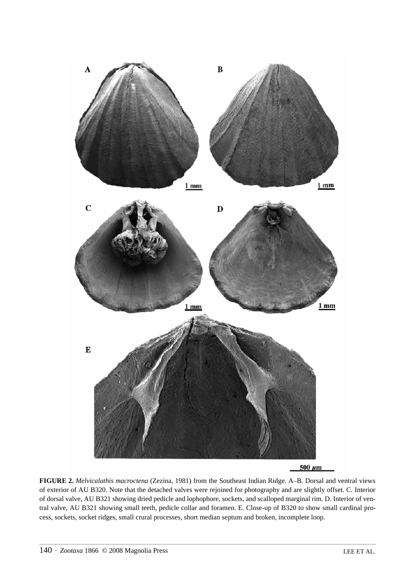

**FIGURE 2.** *Melvicalathis macroctena* (Zezina, 1981) from the Southeast Indian Ridge. A–B. Dorsal and ventral views of exterior of AU B320. Note that the detached valves were rejoined for photography and are slightly offset. C. Interior of dorsal valve, AU B321 showing dried pedicle and lophophore, sockets, and scalloped marginal rim. D. Interior of ventral valve, AU B321 showing small teeth, pedicle collar and foramen. E. Close-up of B320 to show small cardinal process, sockets, socket ridges, small crural processes, short median septum and broken, incomplete loop.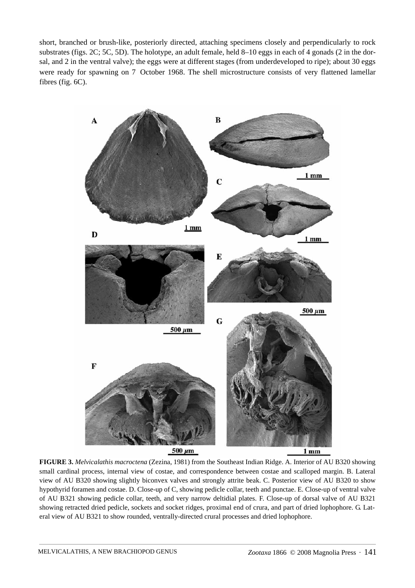short, branched or brush-like, posteriorly directed, attaching specimens closely and perpendicularly to rock substrates (figs. 2C; 5C, 5D). The holotype, an adult female, held 8–10 eggs in each of 4 gonads (2 in the dorsal, and 2 in the ventral valve); the eggs were at different stages (from underdeveloped to ripe); about 30 eggs were ready for spawning on 7 October 1968. The shell microstructure consists of very flattened lamellar fibres (fig. 6C).



**FIGURE 3.** *Melvicalathis macroctena* (Zezina, 1981) from the Southeast Indian Ridge. A. Interior of AU B320 showing small cardinal process, internal view of costae, and correspondence between costae and scalloped margin. B. Lateral view of AU B320 showing slightly biconvex valves and strongly attrite beak. C. Posterior view of AU B320 to show hypothyrid foramen and costae. D. Close-up of C, showing pedicle collar, teeth and punctae. E. Close-up of ventral valve of AU B321 showing pedicle collar, teeth, and very narrow deltidial plates. F. Close-up of dorsal valve of AU B321 showing retracted dried pedicle, sockets and socket ridges, proximal end of crura, and part of dried lophophore. G. Lateral view of AU B321 to show rounded, ventrally-directed crural processes and dried lophophore.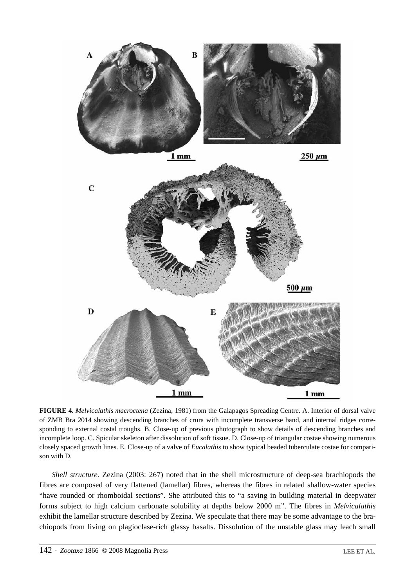

**FIGURE 4.** *Melvicalathis macroctena* (Zezina, 1981) from the Galapagos Spreading Centre. A. Interior of dorsal valve of ZMB Bra 2014 showing descending branches of crura with incomplete transverse band, and internal ridges corresponding to external costal troughs. B. Close-up of previous photograph to show details of descending branches and incomplete loop. C. Spicular skeleton after dissolution of soft tissue. D. Close-up of triangular costae showing numerous closely spaced growth lines. E. Close-up of a valve of *Eucalathis* to show typical beaded tuberculate costae for comparison with D.

*Shell structure.* Zezina (2003: 267) noted that in the shell microstructure of deep-sea brachiopods the fibres are composed of very flattened (lamellar) fibres, whereas the fibres in related shallow-water species "have rounded or rhomboidal sections". She attributed this to "a saving in building material in deepwater forms subject to high calcium carbonate solubility at depths below 2000 m". The fibres in *Melvicalathis* exhibit the lamellar structure described by Zezina. We speculate that there may be some advantage to the brachiopods from living on plagioclase-rich glassy basalts. Dissolution of the unstable glass may leach small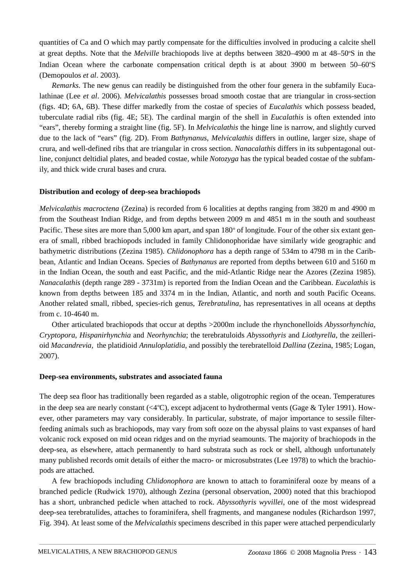quantities of Ca and O which may partly compensate for the difficulties involved in producing a calcite shell at great depths. Note that the *Melville* brachiopods live at depths between 3820–4900 m at 48–50°S in the Indian Ocean where the carbonate compensation critical depth is at about 3900 m between 50-60°S (Demopoulos *et al*. 2003).

*Remarks.* The new genus can readily be distinguished from the other four genera in the subfamily Eucalathinae (Lee *et al*. 2006). *Melvicalathis* possesses broad smooth costae that are triangular in cross-section (figs. 4D; 6A, 6B). These differ markedly from the costae of species of *Eucalathis* which possess beaded, tuberculate radial ribs (fig. 4E; 5E). The cardinal margin of the shell in *Eucalathis* is often extended into "ears", thereby forming a straight line (fig. 5F). In *Melvicalathis* the hinge line is narrow, and slightly curved due to the lack of "ears" (fig. 2D). From *Bathynanus*, *Melvicalathis* differs in outline, larger size, shape of crura, and well-defined ribs that are triangular in cross section. *Nanacalathis* differs in its subpentagonal outline, conjunct deltidial plates, and beaded costae, while *Notozyga* has the typical beaded costae of the subfamily, and thick wide crural bases and crura.

## **Distribution and ecology of deep-sea brachiopods**

*Melvicalathis macroctena* (Zezina) is recorded from 6 localities at depths ranging from 3820 m and 4900 m from the Southeast Indian Ridge, and from depths between 2009 m and 4851 m in the south and southeast Pacific. These sites are more than 5,000 km apart, and span 180° of longitude. Four of the other six extant genera of small, ribbed brachiopods included in family Chlidonophoridae have similarly wide geographic and bathymetric distributions (Zezina 1985). *Chlidonophora* has a depth range of 534m to 4798 m in the Caribbean, Atlantic and Indian Oceans. Species of *Bathynanus* are reported from depths between 610 and 5160 m in the Indian Ocean, the south and east Pacific, and the mid-Atlantic Ridge near the Azores (Zezina 1985). *Nanacalathis* (depth range 289 - 3731m) is reported from the Indian Ocean and the Caribbean. *Eucalathis* is known from depths between 185 and 3374 m in the Indian, Atlantic, and north and south Pacific Oceans. Another related small, ribbed, species-rich genus, *Terebratulina*, has representatives in all oceans at depths from c. 10-4640 m.

Other articulated brachiopods that occur at depths >2000m include the rhynchonelloids *Abyssorhynchia*, *Cryptopora*, *Hispanirhynchia* and *Neorhynchia*; the terebratuloids *Abyssothyris* and *Liothyrella*, the zeillerioid *Macandrevia*, the platidioid *Annuloplatidia*, and possibly the terebratelloid *Dallina* (Zezina, 1985; Logan, 2007).

## **Deep-sea environments, substrates and associated fauna**

The deep sea floor has traditionally been regarded as a stable, oligotrophic region of the ocean. Temperatures in the deep sea are nearly constant (<4°C), except adjacent to hydrothermal vents (Gage & Tyler 1991). However, other parameters may vary considerably. In particular, substrate, of major importance to sessile filterfeeding animals such as brachiopods, may vary from soft ooze on the abyssal plains to vast expanses of hard volcanic rock exposed on mid ocean ridges and on the myriad seamounts. The majority of brachiopods in the deep-sea, as elsewhere, attach permanently to hard substrata such as rock or shell, although unfortunately many published records omit details of either the macro- or microsubstrates (Lee 1978) to which the brachiopods are attached.

A few brachiopods including *Chlidonophora* are known to attach to foraminiferal ooze by means of a branched pedicle (Rudwick 1970), although Zezina (personal observation, 2000) noted that this brachiopod has a short, unbranched pedicle when attached to rock. *Abyssothyris wyvillei*, one of the most widespread deep-sea terebratulides, attaches to foraminifera, shell fragments, and manganese nodules (Richardson 1997, Fig. 394). At least some of the *Melvicalathis* specimens described in this paper were attached perpendicularly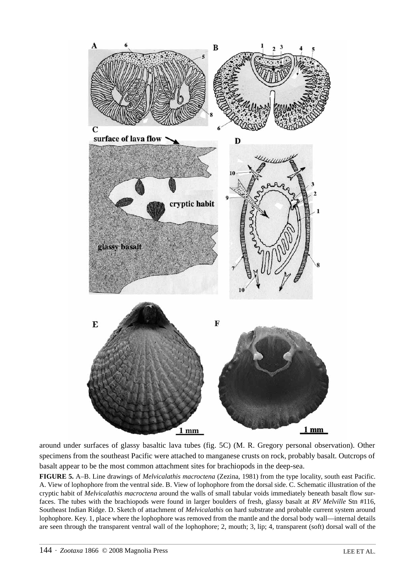

around under surfaces of glassy basaltic lava tubes (fig. 5C) (M. R. Gregory personal observation). Other specimens from the southeast Pacific were attached to manganese crusts on rock, probably basalt. Outcrops of basalt appear to be the most common attachment sites for brachiopods in the deep-sea.

**FIGURE 5.** A–B. Line drawings of *Melvicalathis macroctena* (Zezina, 1981) from the type locality, south east Pacific. A. View of lophophore from the ventral side. B. View of lophophore from the dorsal side. C. Schematic illustration of the cryptic habit of *Melvicalathis macroctena* around the walls of small tabular voids immediately beneath basalt flow surfaces. The tubes with the brachiopods were found in larger boulders of fresh, glassy basalt at *RV Melville* Stn #116, Southeast Indian Ridge. D. Sketch of attachment of *Melvicalathis* on hard substrate and probable current system around lophophore. Key. 1, place where the lophophore was removed from the mantle and the dorsal body wall—internal details are seen through the transparent ventral wall of the lophophore; 2, mouth; 3, lip; 4, transparent (soft) dorsal wall of the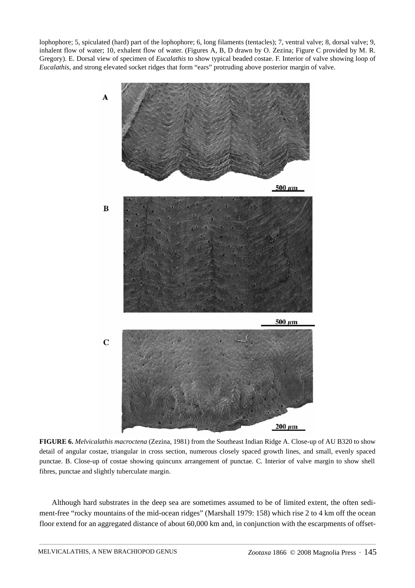lophophore; 5, spiculated (hard) part of the lophophore; 6, long filaments (tentacles); 7, ventral valve; 8, dorsal valve; 9, inhalent flow of water; 10, exhalent flow of water. (Figures A, B, D drawn by O. Zezina; Figure C provided by M. R. Gregory). E. Dorsal view of specimen of *Eucalathis* to show typical beaded costae. F. Interior of valve showing loop of *Eucalathis*, and strong elevated socket ridges that form "ears" protruding above posterior margin of valve.



**FIGURE 6.** *Melvicalathis macroctena* (Zezina, 1981) from the Southeast Indian Ridge A. Close-up of AU B320 to show detail of angular costae, triangular in cross section, numerous closely spaced growth lines, and small, evenly spaced punctae. B. Close-up of costae showing quincunx arrangement of punctae. C. Interior of valve margin to show shell fibres, punctae and slightly tuberculate margin.

Although hard substrates in the deep sea are sometimes assumed to be of limited extent, the often sediment-free "rocky mountains of the mid-ocean ridges" (Marshall 1979: 158) which rise 2 to 4 km off the ocean floor extend for an aggregated distance of about 60,000 km and, in conjunction with the escarpments of offset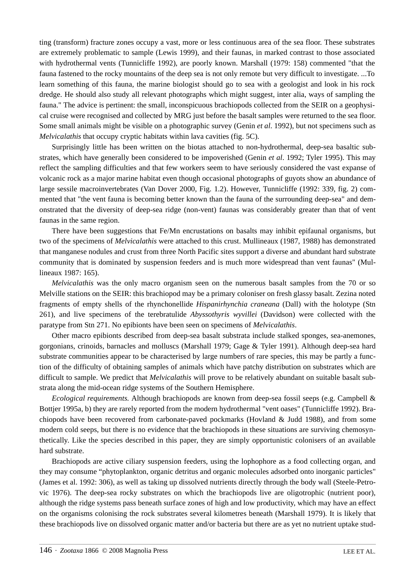ting (transform) fracture zones occupy a vast, more or less continuous area of the sea floor. These substrates are extremely problematic to sample (Lewis 1999), and their faunas, in marked contrast to those associated with hydrothermal vents (Tunnicliffe 1992), are poorly known. Marshall (1979: 158) commented "that the fauna fastened to the rocky mountains of the deep sea is not only remote but very difficult to investigate. ...To learn something of this fauna, the marine biologist should go to sea with a geologist and look in his rock dredge. He should also study all relevant photographs which might suggest, inter alia, ways of sampling the fauna." The advice is pertinent: the small, inconspicuous brachiopods collected from the SEIR on a geophysical cruise were recognised and collected by MRG just before the basalt samples were returned to the sea floor. Some small animals might be visible on a photographic survey (Genin *et al*. 1992), but not specimens such as *Melvicalathis* that occupy cryptic habitats within lava cavities (fig. 5C).

Surprisingly little has been written on the biotas attached to non-hydrothermal, deep-sea basaltic substrates, which have generally been considered to be impoverished (Genin *et al*. 1992; Tyler 1995). This may reflect the sampling difficulties and that few workers seem to have seriously considered the vast expanse of volcanic rock as a major marine habitat even though occasional photographs of guyots show an abundance of large sessile macroinvertebrates (Van Dover 2000, Fig. 1.2). However, Tunnicliffe (1992: 339, fig. 2) commented that "the vent fauna is becoming better known than the fauna of the surrounding deep-sea" and demonstrated that the diversity of deep-sea ridge (non-vent) faunas was considerably greater than that of vent faunas in the same region.

There have been suggestions that Fe/Mn encrustations on basalts may inhibit epifaunal organisms, but two of the specimens of *Melvicalathis* were attached to this crust. Mullineaux (1987, 1988) has demonstrated that manganese nodules and crust from three North Pacific sites support a diverse and abundant hard substrate community that is dominated by suspension feeders and is much more widespread than vent faunas" (Mullineaux 1987: 165).

*Melvicalathis* was the only macro organism seen on the numerous basalt samples from the 70 or so Melville stations on the SEIR: this brachiopod may be a primary coloniser on fresh glassy basalt. Zezina noted fragments of empty shells of the rhynchonellide *Hispanirhynchia craneana* (Dall) with the holotype (Stn 261), and live specimens of the terebratulide *Abyssothyris wyvillei* (Davidson) were collected with the paratype from Stn 271. No epibionts have been seen on specimens of *Melvicalathis*.

Other macro epibionts described from deep-sea basalt substrata include stalked sponges, sea-anemones, gorgonians, crinoids, barnacles and molluscs (Marshall 1979; Gage & Tyler 1991). Although deep-sea hard substrate communities appear to be characterised by large numbers of rare species, this may be partly a function of the difficulty of obtaining samples of animals which have patchy distribution on substrates which are difficult to sample. We predict that *Melvicalathis* will prove to be relatively abundant on suitable basalt substrata along the mid-ocean ridge systems of the Southern Hemisphere.

*Ecological requirements.* Although brachiopods are known from deep-sea fossil seeps (e.g. Campbell & Bottjer 1995a, b) they are rarely reported from the modern hydrothermal "vent oases" (Tunnicliffe 1992). Brachiopods have been recovered from carbonate-paved pockmarks (Hovland & Judd 1988), and from some modern cold seeps, but there is no evidence that the brachiopods in these situations are surviving chemosynthetically. Like the species described in this paper, they are simply opportunistic colonisers of an available hard substrate.

Brachiopods are active ciliary suspension feeders, using the lophophore as a food collecting organ, and they may consume "phytoplankton, organic detritus and organic molecules adsorbed onto inorganic particles" (James et al. 1992: 306), as well as taking up dissolved nutrients directly through the body wall (Steele-Petrovic 1976). The deep-sea rocky substrates on which the brachiopods live are oligotrophic (nutrient poor), although the ridge systems pass beneath surface zones of high and low productivity, which may have an effect on the organisms colonising the rock substrates several kilometres beneath (Marshall 1979). It is likely that these brachiopods live on dissolved organic matter and/or bacteria but there are as yet no nutrient uptake stud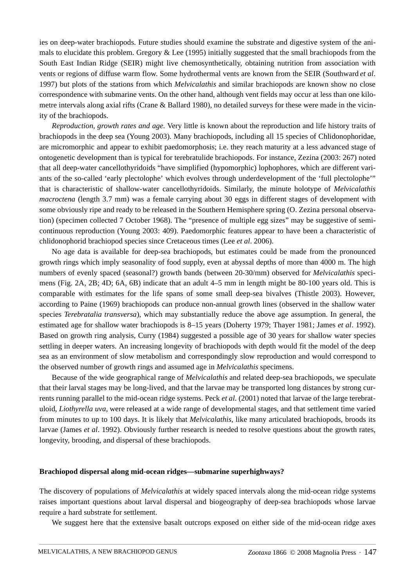ies on deep-water brachiopods. Future studies should examine the substrate and digestive system of the animals to elucidate this problem. Gregory  $\&$  Lee (1995) initially suggested that the small brachiopods from the South East Indian Ridge (SEIR) might live chemosynthetically, obtaining nutrition from association with vents or regions of diffuse warm flow. Some hydrothermal vents are known from the SEIR (Southward *et al*. 1997) but plots of the stations from which *Melvicalathis* and similar brachiopods are known show no close correspondence with submarine vents. On the other hand, although vent fields may occur at less than one kilometre intervals along axial rifts (Crane & Ballard 1980), no detailed surveys for these were made in the vicinity of the brachiopods.

*Reproduction, growth rates and age.* Very little is known about the reproduction and life history traits of brachiopods in the deep sea (Young 2003). Many brachiopods, including all 15 species of Chlidonophoridae, are micromorphic and appear to exhibit paedomorphosis; i.e. they reach maturity at a less advanced stage of ontogenetic development than is typical for terebratulide brachiopods. For instance, Zezina (2003: 267) noted that all deep-water cancellothyridoids "have simplified (hypomorphic) lophophores, which are different variants of the so-called 'early plectolophe' which evolves through underdevelopment of the 'full plectolophe'" that is characteristic of shallow-water cancellothyridoids. Similarly, the minute holotype of *Melvicalathis macroctena* (length 3.7 mm) was a female carrying about 30 eggs in different stages of development with some obviously ripe and ready to be released in the Southern Hemisphere spring (O. Zezina personal observation) (specimen collected 7 October 1968). The "presence of multiple egg sizes" may be suggestive of semicontinuous reproduction (Young 2003: 409). Paedomorphic features appear to have been a characteristic of chlidonophorid brachiopod species since Cretaceous times (Lee *et al*. 2006).

No age data is available for deep-sea brachiopods, but estimates could be made from the pronounced growth rings which imply seasonality of food supply, even at abyssal depths of more than 4000 m. The high numbers of evenly spaced (seasonal?) growth bands (between 20-30/mm) observed for *Melvicalathis* specimens (Fig. 2A, 2B; 4D; 6A, 6B) indicate that an adult 4–5 mm in length might be 80-100 years old. This is comparable with estimates for the life spans of some small deep-sea bivalves (Thistle 2003). However, according to Paine (1969) brachiopods can produce non-annual growth lines (observed in the shallow water species *Terebratalia transversa*), which may substantially reduce the above age assumption. In general, the estimated age for shallow water brachiopods is 8–15 years (Doherty 1979; Thayer 1981; James *et al*. 1992). Based on growth ring analysis, Curry (1984) suggested a possible age of 30 years for shallow water species settling in deeper waters. An increasing longevity of brachiopods with depth would fit the model of the deep sea as an environment of slow metabolism and correspondingly slow reproduction and would correspond to the observed number of growth rings and assumed age in *Melvicalathis* specimens.

Because of the wide geographical range of *Melvicalathis* and related deep-sea brachiopods, we speculate that their larval stages may be long-lived, and that the larvae may be transported long distances by strong currents running parallel to the mid-ocean ridge systems. Peck *et al*. (2001) noted that larvae of the large terebratuloid, *Liothyrella uva,* were released at a wide range of developmental stages, and that settlement time varied from minutes to up to 100 days. It is likely that *Melvicalathis*, like many articulated brachiopods, broods its larvae (James *et al*. 1992). Obviously further research is needed to resolve questions about the growth rates, longevity, brooding, and dispersal of these brachiopods.

#### **Brachiopod dispersal along mid-ocean ridges—submarine superhighways?**

The discovery of populations of *Melvicalathis* at widely spaced intervals along the mid-ocean ridge systems raises important questions about larval dispersal and biogeography of deep-sea brachiopods whose larvae require a hard substrate for settlement.

We suggest here that the extensive basalt outcrops exposed on either side of the mid-ocean ridge axes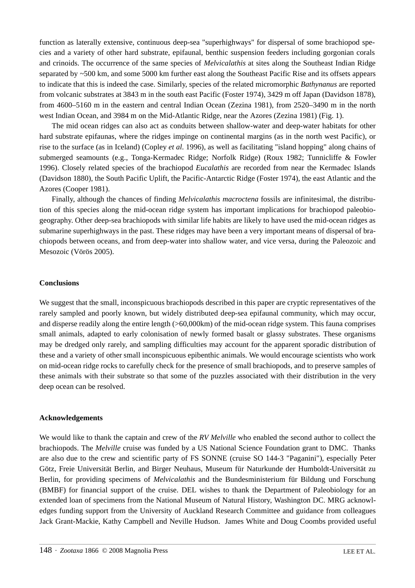function as laterally extensive, continuous deep-sea "superhighways" for dispersal of some brachiopod species and a variety of other hard substrate, epifaunal, benthic suspension feeders including gorgonian corals and crinoids. The occurrence of the same species of *Melvicalathis* at sites along the Southeast Indian Ridge separated by ~500 km, and some 5000 km further east along the Southeast Pacific Rise and its offsets appears to indicate that this is indeed the case. Similarly, species of the related micromorphic *Bathynanus* are reported from volcanic substrates at 3843 m in the south east Pacific (Foster 1974), 3429 m off Japan (Davidson 1878), from 4600–5160 m in the eastern and central Indian Ocean (Zezina 1981), from 2520–3490 m in the north west Indian Ocean, and 3984 m on the Mid-Atlantic Ridge, near the Azores (Zezina 1981) (Fig. 1).

The mid ocean ridges can also act as conduits between shallow-water and deep-water habitats for other hard substrate epifaunas, where the ridges impinge on continental margins (as in the north west Pacific), or rise to the surface (as in Iceland) (Copley *et al*. 1996), as well as facilitating "island hopping" along chains of submerged seamounts (e.g., Tonga-Kermadec Ridge; Norfolk Ridge) (Roux 1982; Tunnicliffe & Fowler 1996). Closely related species of the brachiopod *Eucalathis* are recorded from near the Kermadec Islands (Davidson 1880), the South Pacific Uplift, the Pacific-Antarctic Ridge (Foster 1974), the east Atlantic and the Azores (Cooper 1981).

Finally, although the chances of finding *Melvicalathis macroctena* fossils are infinitesimal, the distribution of this species along the mid-ocean ridge system has important implications for brachiopod paleobiogeography. Other deep-sea brachiopods with similar life habits are likely to have used the mid-ocean ridges as submarine superhighways in the past. These ridges may have been a very important means of dispersal of brachiopods between oceans, and from deep-water into shallow water, and vice versa, during the Paleozoic and Mesozoic (Vörös 2005).

## **Conclusions**

We suggest that the small, inconspicuous brachiopods described in this paper are cryptic representatives of the rarely sampled and poorly known, but widely distributed deep-sea epifaunal community, which may occur, and disperse readily along the entire length (>60,000km) of the mid-ocean ridge system. This fauna comprises small animals, adapted to early colonisation of newly formed basalt or glassy substrates. These organisms may be dredged only rarely, and sampling difficulties may account for the apparent sporadic distribution of these and a variety of other small inconspicuous epibenthic animals. We would encourage scientists who work on mid-ocean ridge rocks to carefully check for the presence of small brachiopods, and to preserve samples of these animals with their substrate so that some of the puzzles associated with their distribution in the very deep ocean can be resolved.

#### **Acknowledgements**

We would like to thank the captain and crew of the *RV Melville* who enabled the second author to collect the brachiopods. The *Melville* cruise was funded by a US National Science Foundation grant to DMC. Thanks are also due to the crew and scientific party of FS SONNE (cruise SO 144-3 "Paganini"), especially Peter Götz, Freie Universität Berlin, and Birger Neuhaus, Museum für Naturkunde der Humboldt-Universität zu Berlin, for providing specimens of *Melvicalathis* and the Bundesministerium für Bildung und Forschung (BMBF) for financial support of the cruise. DEL wishes to thank the Department of Paleobiology for an extended loan of specimens from the National Museum of Natural History, Washington DC. MRG acknowledges funding support from the University of Auckland Research Committee and guidance from colleagues Jack Grant-Mackie, Kathy Campbell and Neville Hudson. James White and Doug Coombs provided useful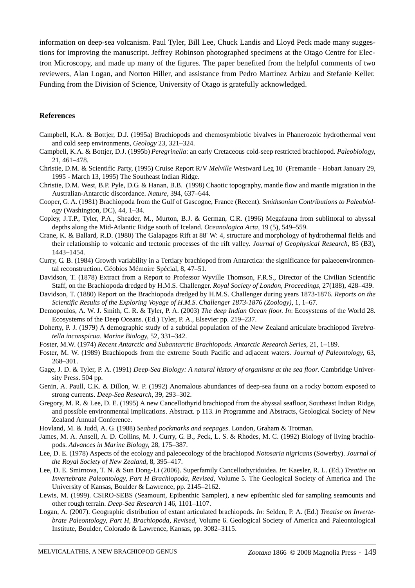information on deep-sea volcanism. Paul Tyler, Bill Lee, Chuck Landis and Lloyd Peck made many suggestions for improving the manuscript. Jeffrey Robinson photographed specimens at the Otago Centre for Electron Microscopy, and made up many of the figures. The paper benefited from the helpful comments of two reviewers, Alan Logan, and Norton Hiller, and assistance from Pedro Martínez Arbizu and Stefanie Keller. Funding from the Division of Science, University of Otago is gratefully acknowledged.

#### **References**

- Campbell, K.A. & Bottjer, D.J. (1995a) Brachiopods and chemosymbiotic bivalves in Phanerozoic hydrothermal vent and cold seep environments, *Geology* 23, 321–324.
- Campbell, K.A. & Bottjer, D.J. (1995b) *Peregrinella*: an early Cretaceous cold-seep restricted brachiopod. *Paleobiology*, 21, 461–478.
- Christie, D.M. & Scientific Party, (1995) Cruise Report R/V *Melville* Westward Leg 10 (Fremantle Hobart January 29, 1995 - March 13, 1995) The Southeast Indian Ridge.
- Christie, D.M. West, B.P. Pyle, D.G. & Hanan, B.B. (1998) Chaotic topography, mantle flow and mantle migration in the Australian-Antarctic discordance. *Nature,* 394, 637–644.
- Cooper, G. A. (1981) Brachiopoda from the Gulf of Gascogne, France (Recent). *Smithsonian Contributions to Paleobiology* (Washington, DC), 44, 1–34.
- Copley, J.T.P., Tyler, P.A., Sheader, M., Murton, B.J. & German, C.R. (1996) Megafauna from sublittoral to abyssal depths along the Mid-Atlantic Ridge south of Iceland. *Oceanologica Acta,* 19 (5), 549–559.
- Crane, K. & Ballard, R.D. (1980) The Galapagos Rift at 88' W: 4, structure and morphology of hydrothermal fields and their relationship to volcanic and tectonic processes of the rift valley. *Journal of Geophysical Research*, 85 (B3), 1443–1454.
- Curry, G. B. (1984) Growth variability in a Tertiary brachiopod from Antarctica: the significance for palaeoenvironmental reconstruction. Géobios Mémoire Spécial, 8, 47–51.
- Davidson, T. (1878) Extract from a Report to Professor Wyville Thomson, F.R.S., Director of the Civilian Scientific Staff, on the Brachiopoda dredged by H.M.S. Challenger. *Royal Society of London, Proceedings*, 27(188), 428–439.
- Davidson, T. (1880) Report on the Brachiopoda dredged by H.M.S. Challenger during years 1873-1876. *Reports on the Scientific Results of the Exploring Voyage of H.M.S. Challenger 1873-1876 (Zoology),* 1, 1–67.
- Demopoulos, A. W. J. Smith, C. R. & Tyler, P. A. (2003) *The deep Indian Ocean floor. In*: Ecosystems of the World 28. Ecosystems of the Deep Oceans. (Ed.) Tyler, P. A., Elsevier pp. 219–237.
- Doherty, P. J. (1979) A demographic study of a subtidal population of the New Zealand articulate brachiopod *Terebratella inconspicua*. *Marine Biology,* 52, 331–342.
- Foster, M.W. (1974) *Recent Antarctic and Subantarctic Brachiopods*. *Antarctic Research Series*, 21, 1–189.
- Foster, M. W. (1989) Brachiopods from the extreme South Pacific and adjacent waters. *Journal of Paleontology,* 63, 268–301.
- Gage, J. D. & Tyler, P. A. (1991) *Deep-Sea Biology: A natural history of organisms at the sea floor*. Cambridge University Press. 504 pp.
- Genin, A. Paull, C.K. & Dillon, W. P. (1992) Anomalous abundances of deep-sea fauna on a rocky bottom exposed to strong currents. *Deep-Sea Research,* 39, 293–302.
- Gregory, M. R. & Lee, D. E. (1995) A new Cancellothyrid brachiopod from the abyssal seafloor, Southeast Indian Ridge, and possible environmental implications. Abstract. p 113. *In* Programme and Abstracts, Geological Society of New Zealand Annual Conference.
- Hovland, M. & Judd, A. G. (1988) *Seabed pockmarks and seepages*. London, Graham & Trotman.
- James, M. A. Ansell, A. D. Collins, M. J. Curry, G. B., Peck, L. S. & Rhodes, M. C. (1992) Biology of living brachiopods. *Advances in Marine Biology,* 28, 175–387.
- Lee, D. E. (1978) Aspects of the ecology and paleoecology of the brachiopod *Notosaria nigricans* (Sowerby). *Journal of the Royal Society of New Zealand*, 8, 395–417.
- Lee, D. E. Smirnova, T. N. & Sun Dong-Li (2006). Superfamily Cancellothyridoidea. *In*: Kaesler, R. L. (Ed.) *Treatise on Invertebrate Paleontology, Part H Brachiopoda, Revised*, Volume 5. The Geological Society of America and The University of Kansas, Boulder & Lawrence, pp. 2145–2162.
- Lewis, M. (1999). CSIRO-SEBS (Seamount, Epibenthic Sampler), a new epibenthic sled for sampling seamounts and other rough terrain. *Deep-Sea Research* I 46, 1101–1107.
- Logan, A. (2007). Geographic distribution of extant articulated brachiopods. *In*: Selden, P. A. (Ed.) *Treatise on Invertebrate Paleontology, Part H, Brachiopoda, Revised*, Volume 6. Geological Society of America and Paleontological Institute, Boulder, Colorado & Lawrence, Kansas, pp. 3082–3115.